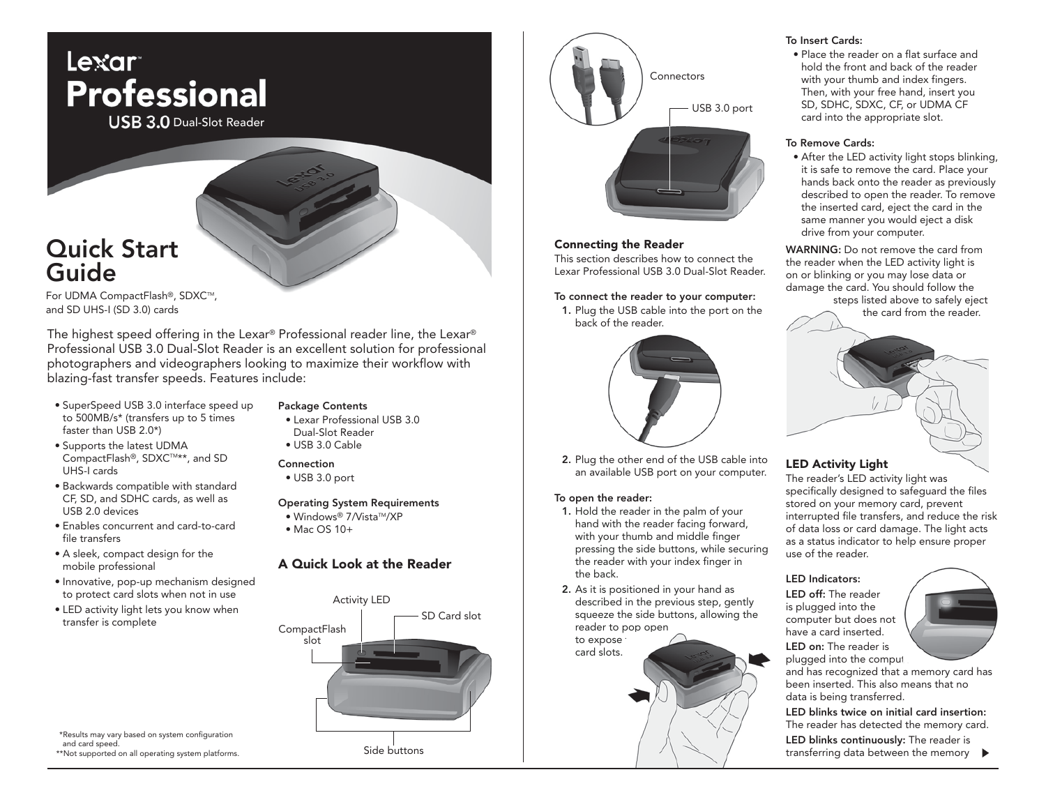

**USB 3.0 Dual-Slot Reader** 

# Quick Start Guide

For UDMA CompactFlash®, SDXC™, and SD UHS-I (SD 3.0) cards

The highest speed offering in the Lexar® Professional reader line, the Lexar® Professional USB 3.0 Dual-Slot Reader is an excellent solution for professional photographers and videographers looking to maximize their workflow with blazing-fast transfer speeds. Features include:

- SuperSpeed USB 3.0 interface speed up to 500MB/s\* (transfers up to 5 times faster than USB 2.0\*)
- Supports the latest UDMA CompactFlash<sup>®</sup>, SDXC™\*\*, and SD UHS-I cards
- Backwards compatible with standard CF, SD, and SDHC cards, as well as USB 2.0 devices
- Enables concurrent and card-to-card file transfers
- A sleek, compact design for the mobile professional
- Innovative, pop-up mechanism designed to protect card slots when not in use
- LED activity light lets you know when transfer is complete

## Package Contents

- Lexar Professional USB 3.0 Dual-Slot Reader
- USB 3.0 Cable

## Connection

• USB 3.0 port

## Operating System Requirements

- Windows® 7/Vista™/XP
- Mac OS 10+

# A Quick Look at the Reader



\*Results may vary based on system configuration and card speed. \*\*Not supported on all operating system platforms.



## Connecting the Reader

This section describes how to connect the Lexar Professional USB 3.0 Dual-Slot Reader.

## To connect the reader to your computer:

1. Plug the USB cable into the port on the back of the reader.



2. Plug the other end of the USB cable into an available USB port on your computer.

#### To open the reader:

- 1. Hold the reader in the palm of your hand with the reader facing forward, with your thumb and middle finger pressing the side buttons, while securing the reader with your index finger in the back.
- 2. As it is positioned in your hand as described in the previous step, gently squeeze the side buttons, allowing the reader to pop open

to expose card slots.

## To Insert Cards:

 • Place the reader on a flat surface and hold the front and back of the reader with your thumb and index fingers. Then, with your free hand, insert you SD, SDHC, SDXC, CF, or UDMA CF card into the appropriate slot.

## To Remove Cards:

 • After the LED activity light stops blinking, it is safe to remove the card. Place your hands back onto the reader as previously described to open the reader. To remove the inserted card, eject the card in the same manner you would eject a disk drive from your computer.

WARNING: Do not remove the card from the reader when the LED activity light is on or blinking or you may lose data or damage the card. You should follow the

 steps listed above to safely eject the card from the reader.



# LED Activity Light

The reader's LED activity light was specifically designed to safeguard the files stored on your memory card, prevent interrupted file transfers, and reduce the risk of data loss or card damage. The light acts as a status indicator to help ensure proper use of the reader.

#### LED Indicators:

LED off: The reader is plugged into the computer but does not have a card inserted.



LED on: The reader is plugged into the comput

and has recognized that a memory card has been inserted. This also means that no data is being transferred.

LED blinks twice on initial card insertion: The reader has detected the memory card.

LED blinks continuously: The reader is transferring data between the memory  $\blacktriangleright$